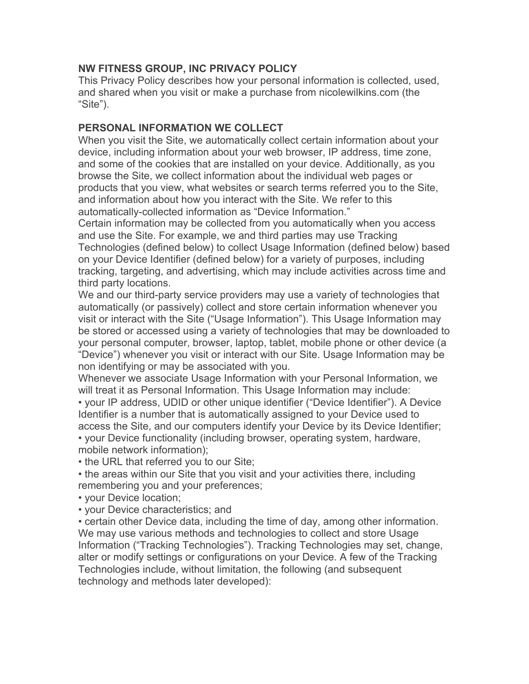## **NW FITNESS GROUP, INC PRIVACY POLICY**

This Privacy Policy describes how your personal information is collected, used, and shared when you visit or make a purchase from nicolewilkins.com (the "Site").

## **PERSONAL INFORMATION WE COLLECT**

When you visit the Site, we automatically collect certain information about your device, including information about your web browser, IP address, time zone, and some of the cookies that are installed on your device. Additionally, as you browse the Site, we collect information about the individual web pages or products that you view, what websites or search terms referred you to the Site, and information about how you interact with the Site. We refer to this automatically-collected information as "Device Information."

Certain information may be collected from you automatically when you access and use the Site. For example, we and third parties may use Tracking Technologies (defined below) to collect Usage Information (defined below) based on your Device Identifier (defined below) for a variety of purposes, including tracking, targeting, and advertising, which may include activities across time and third party locations.

We and our third-party service providers may use a variety of technologies that automatically (or passively) collect and store certain information whenever you visit or interact with the Site ("Usage Information"). This Usage Information may be stored or accessed using a variety of technologies that may be downloaded to your personal computer, browser, laptop, tablet, mobile phone or other device (a "Device") whenever you visit or interact with our Site. Usage Information may be non identifying or may be associated with you.

Whenever we associate Usage Information with your Personal Information, we will treat it as Personal Information. This Usage Information may include:

• your IP address, UDID or other unique identifier ("Device Identifier"). A Device Identifier is a number that is automatically assigned to your Device used to access the Site, and our computers identify your Device by its Device Identifier;

• your Device functionality (including browser, operating system, hardware, mobile network information);

• the URL that referred you to our Site;

• the areas within our Site that you visit and your activities there, including remembering you and your preferences;

• your Device location;

• your Device characteristics; and

• certain other Device data, including the time of day, among other information. We may use various methods and technologies to collect and store Usage Information ("Tracking Technologies"). Tracking Technologies may set, change, alter or modify settings or configurations on your Device. A few of the Tracking Technologies include, without limitation, the following (and subsequent technology and methods later developed):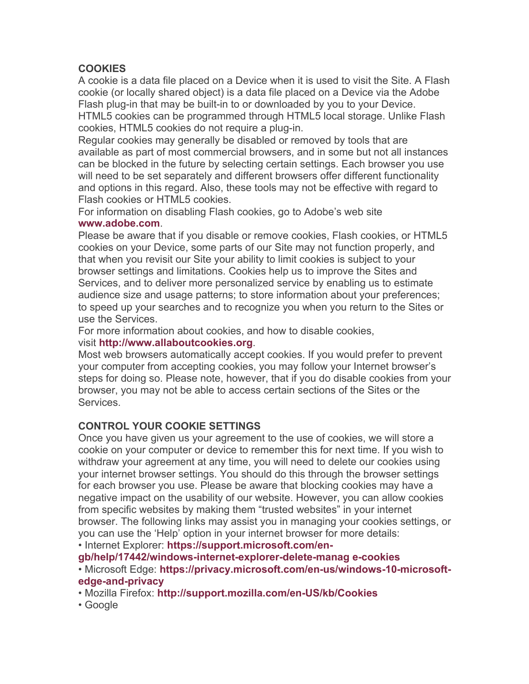# **COOKIES**

A cookie is a data file placed on a Device when it is used to visit the Site. A Flash cookie (or locally shared object) is a data file placed on a Device via the Adobe Flash plug-in that may be built-in to or downloaded by you to your Device. HTML5 cookies can be programmed through HTML5 local storage. Unlike Flash cookies, HTML5 cookies do not require a plug-in.

Regular cookies may generally be disabled or removed by tools that are available as part of most commercial browsers, and in some but not all instances can be blocked in the future by selecting certain settings. Each browser you use will need to be set separately and different browsers offer different functionality and options in this regard. Also, these tools may not be effective with regard to Flash cookies or HTML5 cookies.

For information on disabling Flash cookies, go to Adobe's web site

#### **www.adobe.com**.

Please be aware that if you disable or remove cookies, Flash cookies, or HTML5 cookies on your Device, some parts of our Site may not function properly, and that when you revisit our Site your ability to limit cookies is subject to your browser settings and limitations. Cookies help us to improve the Sites and Services, and to deliver more personalized service by enabling us to estimate audience size and usage patterns; to store information about your preferences; to speed up your searches and to recognize you when you return to the Sites or use the Services.

For more information about cookies, and how to disable cookies,

### visit **http://www.allaboutcookies.org**.

Most web browsers automatically accept cookies. If you would prefer to prevent your computer from accepting cookies, you may follow your Internet browser's steps for doing so. Please note, however, that if you do disable cookies from your browser, you may not be able to access certain sections of the Sites or the Services.

# **CONTROL YOUR COOKIE SETTINGS**

Once you have given us your agreement to the use of cookies, we will store a cookie on your computer or device to remember this for next time. If you wish to withdraw your agreement at any time, you will need to delete our cookies using your internet browser settings. You should do this through the browser settings for each browser you use. Please be aware that blocking cookies may have a negative impact on the usability of our website. However, you can allow cookies from specific websites by making them "trusted websites" in your internet browser. The following links may assist you in managing your cookies settings, or you can use the 'Help' option in your internet browser for more details:

• Internet Explorer: **https://support.microsoft.com/en-**

**gb/help/17442/windows-internet-explorer-delete-manag e-cookies**

• Microsoft Edge: **https://privacy.microsoft.com/en-us/windows-10-microsoftedge-and-privacy**

• Mozilla Firefox: **http://support.mozilla.com/en-US/kb/Cookies**

• Google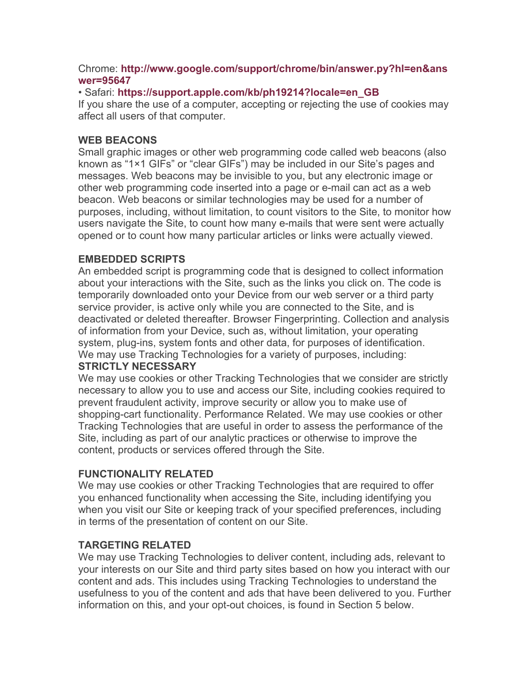### Chrome: **http://www.google.com/support/chrome/bin/answer.py?hl=en&ans wer=95647**

### • Safari: **https://support.apple.com/kb/ph19214?locale=en\_GB**

If you share the use of a computer, accepting or rejecting the use of cookies may affect all users of that computer.

### **WEB BEACONS**

Small graphic images or other web programming code called web beacons (also known as "1×1 GIFs" or "clear GIFs") may be included in our Site's pages and messages. Web beacons may be invisible to you, but any electronic image or other web programming code inserted into a page or e-mail can act as a web beacon. Web beacons or similar technologies may be used for a number of purposes, including, without limitation, to count visitors to the Site, to monitor how users navigate the Site, to count how many e-mails that were sent were actually opened or to count how many particular articles or links were actually viewed.

## **EMBEDDED SCRIPTS**

An embedded script is programming code that is designed to collect information about your interactions with the Site, such as the links you click on. The code is temporarily downloaded onto your Device from our web server or a third party service provider, is active only while you are connected to the Site, and is deactivated or deleted thereafter. Browser Fingerprinting. Collection and analysis of information from your Device, such as, without limitation, your operating system, plug-ins, system fonts and other data, for purposes of identification. We may use Tracking Technologies for a variety of purposes, including:

### **STRICTLY NECESSARY**

We may use cookies or other Tracking Technologies that we consider are strictly necessary to allow you to use and access our Site, including cookies required to prevent fraudulent activity, improve security or allow you to make use of shopping-cart functionality. Performance Related. We may use cookies or other Tracking Technologies that are useful in order to assess the performance of the Site, including as part of our analytic practices or otherwise to improve the content, products or services offered through the Site.

## **FUNCTIONALITY RELATED**

We may use cookies or other Tracking Technologies that are required to offer you enhanced functionality when accessing the Site, including identifying you when you visit our Site or keeping track of your specified preferences, including in terms of the presentation of content on our Site.

## **TARGETING RELATED**

We may use Tracking Technologies to deliver content, including ads, relevant to your interests on our Site and third party sites based on how you interact with our content and ads. This includes using Tracking Technologies to understand the usefulness to you of the content and ads that have been delivered to you. Further information on this, and your opt-out choices, is found in Section 5 below.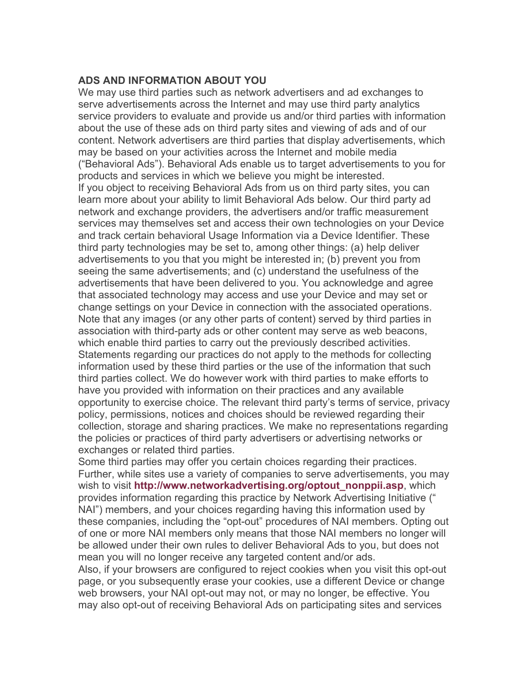#### **ADS AND INFORMATION ABOUT YOU**

We may use third parties such as network advertisers and ad exchanges to serve advertisements across the Internet and may use third party analytics service providers to evaluate and provide us and/or third parties with information about the use of these ads on third party sites and viewing of ads and of our content. Network advertisers are third parties that display advertisements, which may be based on your activities across the Internet and mobile media ("Behavioral Ads"). Behavioral Ads enable us to target advertisements to you for products and services in which we believe you might be interested. If you object to receiving Behavioral Ads from us on third party sites, you can learn more about your ability to limit Behavioral Ads below. Our third party ad network and exchange providers, the advertisers and/or traffic measurement services may themselves set and access their own technologies on your Device and track certain behavioral Usage Information via a Device Identifier. These third party technologies may be set to, among other things: (a) help deliver advertisements to you that you might be interested in; (b) prevent you from seeing the same advertisements; and (c) understand the usefulness of the advertisements that have been delivered to you. You acknowledge and agree that associated technology may access and use your Device and may set or change settings on your Device in connection with the associated operations. Note that any images (or any other parts of content) served by third parties in association with third-party ads or other content may serve as web beacons, which enable third parties to carry out the previously described activities. Statements regarding our practices do not apply to the methods for collecting information used by these third parties or the use of the information that such third parties collect. We do however work with third parties to make efforts to have you provided with information on their practices and any available opportunity to exercise choice. The relevant third party's terms of service, privacy policy, permissions, notices and choices should be reviewed regarding their collection, storage and sharing practices. We make no representations regarding the policies or practices of third party advertisers or advertising networks or exchanges or related third parties.

Some third parties may offer you certain choices regarding their practices. Further, while sites use a variety of companies to serve advertisements, you may wish to visit **http://www.networkadvertising.org/optout\_nonppii.asp**, which provides information regarding this practice by Network Advertising Initiative (" NAI") members, and your choices regarding having this information used by these companies, including the "opt-out" procedures of NAI members. Opting out of one or more NAI members only means that those NAI members no longer will be allowed under their own rules to deliver Behavioral Ads to you, but does not mean you will no longer receive any targeted content and/or ads.

Also, if your browsers are configured to reject cookies when you visit this opt-out page, or you subsequently erase your cookies, use a different Device or change web browsers, your NAI opt-out may not, or may no longer, be effective. You may also opt-out of receiving Behavioral Ads on participating sites and services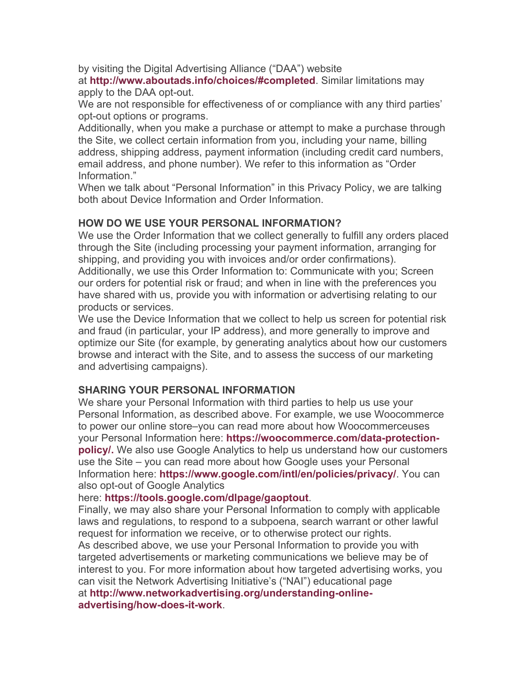by visiting the Digital Advertising Alliance ("DAA") website

at **http://www.aboutads.info/choices/#completed**. Similar limitations may apply to the DAA opt-out.

We are not responsible for effectiveness of or compliance with any third parties' opt-out options or programs.

Additionally, when you make a purchase or attempt to make a purchase through the Site, we collect certain information from you, including your name, billing address, shipping address, payment information (including credit card numbers, email address, and phone number). We refer to this information as "Order Information."

When we talk about "Personal Information" in this Privacy Policy, we are talking both about Device Information and Order Information.

## **HOW DO WE USE YOUR PERSONAL INFORMATION?**

We use the Order Information that we collect generally to fulfill any orders placed through the Site (including processing your payment information, arranging for shipping, and providing you with invoices and/or order confirmations).

Additionally, we use this Order Information to: Communicate with you; Screen our orders for potential risk or fraud; and when in line with the preferences you have shared with us, provide you with information or advertising relating to our products or services.

We use the Device Information that we collect to help us screen for potential risk and fraud (in particular, your IP address), and more generally to improve and optimize our Site (for example, by generating analytics about how our customers browse and interact with the Site, and to assess the success of our marketing and advertising campaigns).

#### **SHARING YOUR PERSONAL INFORMATION**

We share your Personal Information with third parties to help us use your Personal Information, as described above. For example, we use Woocommerce to power our online store–you can read more about how Woocommerceuses your Personal Information here: **https://woocommerce.com/data-protectionpolicy/.** We also use Google Analytics to help us understand how our customers use the Site – you can read more about how Google uses your Personal Information here: **https://www.google.com/intl/en/policies/privacy/**. You can also opt-out of Google Analytics

#### here: **https://tools.google.com/dlpage/gaoptout**.

Finally, we may also share your Personal Information to comply with applicable laws and regulations, to respond to a subpoena, search warrant or other lawful request for information we receive, or to otherwise protect our rights. As described above, we use your Personal Information to provide you with targeted advertisements or marketing communications we believe may be of interest to you. For more information about how targeted advertising works, you can visit the Network Advertising Initiative's ("NAI") educational page at **http://www.networkadvertising.org/understanding-onlineadvertising/how-does-it-work**.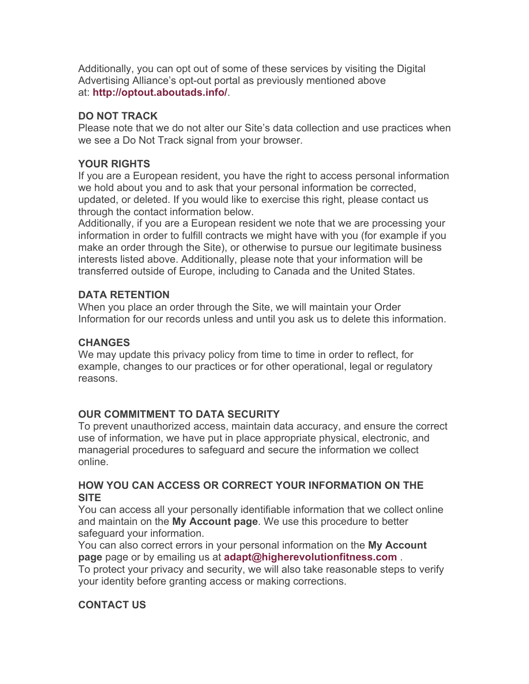Additionally, you can opt out of some of these services by visiting the Digital Advertising Alliance's opt-out portal as previously mentioned above at: **http://optout.aboutads.info/**.

### **DO NOT TRACK**

Please note that we do not alter our Site's data collection and use practices when we see a Do Not Track signal from your browser.

### **YOUR RIGHTS**

If you are a European resident, you have the right to access personal information we hold about you and to ask that your personal information be corrected, updated, or deleted. If you would like to exercise this right, please contact us through the contact information below.

Additionally, if you are a European resident we note that we are processing your information in order to fulfill contracts we might have with you (for example if you make an order through the Site), or otherwise to pursue our legitimate business interests listed above. Additionally, please note that your information will be transferred outside of Europe, including to Canada and the United States.

### **DATA RETENTION**

When you place an order through the Site, we will maintain your Order Information for our records unless and until you ask us to delete this information.

### **CHANGES**

We may update this privacy policy from time to time in order to reflect, for example, changes to our practices or for other operational, legal or regulatory reasons.

## **OUR COMMITMENT TO DATA SECURITY**

To prevent unauthorized access, maintain data accuracy, and ensure the correct use of information, we have put in place appropriate physical, electronic, and managerial procedures to safeguard and secure the information we collect online.

### **HOW YOU CAN ACCESS OR CORRECT YOUR INFORMATION ON THE SITE**

You can access all your personally identifiable information that we collect online and maintain on the **My Account page**. We use this procedure to better safeguard your information.

You can also correct errors in your personal information on the **My Account page** page or by emailing us at **adapt@higherevolutionfitness.com** .

To protect your privacy and security, we will also take reasonable steps to verify your identity before granting access or making corrections.

# **CONTACT US**